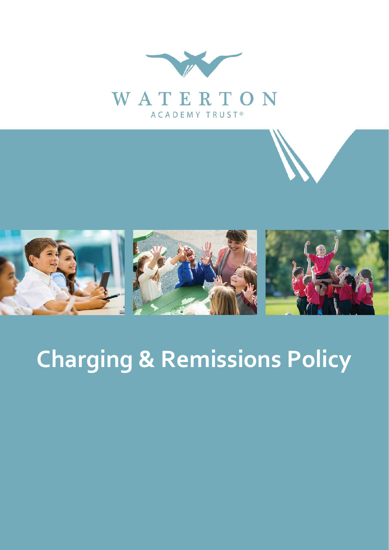



# **Charging & Remissions Policy**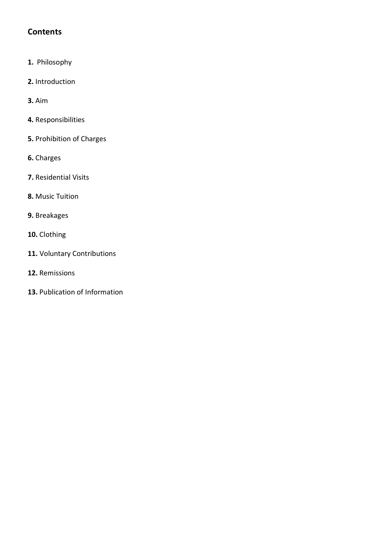# **Contents**

- **1.** Philosophy
- **2.** Introduction
- **3.** Aim
- **4.** Responsibilities
- **5.** Prohibition of Charges
- **6.** Charges
- **7.** Residential Visits
- **8.** Music Tuition
- **9.** Breakages
- **10.** Clothing
- **11.** Voluntary Contributions
- **12.** Remissions
- **13.** Publication of Information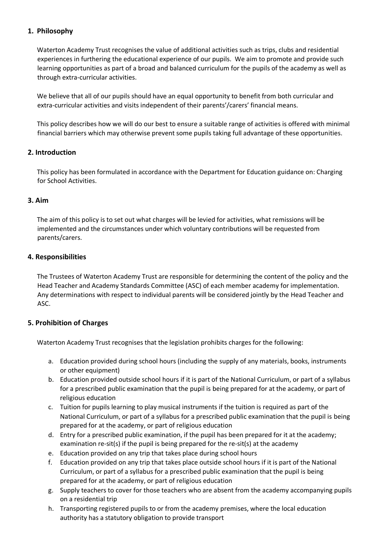# **1. Philosophy**

Waterton Academy Trust recognises the value of additional activities such as trips, clubs and residential experiences in furthering the educational experience of our pupils. We aim to promote and provide such learning opportunities as part of a broad and balanced curriculum for the pupils of the academy as well as through extra-curricular activities.

We believe that all of our pupils should have an equal opportunity to benefit from both curricular and extra-curricular activities and visits independent of their parents'/carers' financial means.

This policy describes how we will do our best to ensure a suitable range of activities is offered with minimal financial barriers which may otherwise prevent some pupils taking full advantage of these opportunities.

# **2. Introduction**

This policy has been formulated in accordance with the Department for Education guidance on: Charging for School Activities.

#### **3. Aim**

The aim of this policy is to set out what charges will be levied for activities, what remissions will be implemented and the circumstances under which voluntary contributions will be requested from parents/carers.

#### **4. Responsibilities**

The Trustees of Waterton Academy Trust are responsible for determining the content of the policy and the Head Teacher and Academy Standards Committee (ASC) of each member academy for implementation. Any determinations with respect to individual parents will be considered jointly by the Head Teacher and ASC.

# **5. Prohibition of Charges**

Waterton Academy Trust recognises that the legislation prohibits charges for the following:

- a. Education provided during school hours (including the supply of any materials, books, instruments or other equipment)
- b. Education provided outside school hours if it is part of the National Curriculum, or part of a syllabus for a prescribed public examination that the pupil is being prepared for at the academy, or part of religious education
- c. Tuition for pupils learning to play musical instruments if the tuition is required as part of the National Curriculum, or part of a syllabus for a prescribed public examination that the pupil is being prepared for at the academy, or part of religious education
- d. Entry for a prescribed public examination, if the pupil has been prepared for it at the academy; examination re-sit(s) if the pupil is being prepared for the re-sit(s) at the academy
- e. Education provided on any trip that takes place during school hours
- f. Education provided on any trip that takes place outside school hours if it is part of the National Curriculum, or part of a syllabus for a prescribed public examination that the pupil is being prepared for at the academy, or part of religious education
- g. Supply teachers to cover for those teachers who are absent from the academy accompanying pupils on a residential trip
- h. Transporting registered pupils to or from the academy premises, where the local education authority has a statutory obligation to provide transport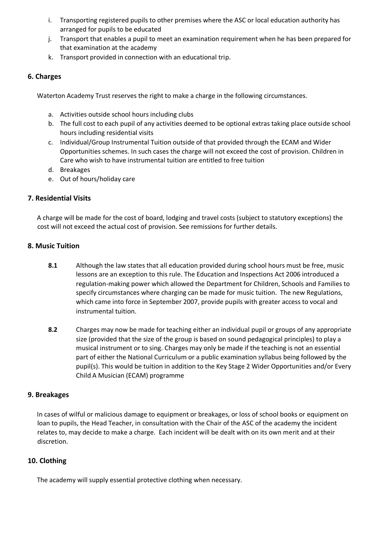- i. Transporting registered pupils to other premises where the ASC or local education authority has arranged for pupils to be educated
- j. Transport that enables a pupil to meet an examination requirement when he has been prepared for that examination at the academy
- k. Transport provided in connection with an educational trip.

# **6. Charges**

Waterton Academy Trust reserves the right to make a charge in the following circumstances.

- a. Activities outside school hours including clubs
- b. The full cost to each pupil of any activities deemed to be optional extras taking place outside school hours including residential visits
- c. Individual/Group Instrumental Tuition outside of that provided through the ECAM and Wider Opportunities schemes. In such cases the charge will not exceed the cost of provision. Children in Care who wish to have instrumental tuition are entitled to free tuition
- d. Breakages
- e. Out of hours/holiday care

# **7. Residential Visits**

A charge will be made for the cost of board, lodging and travel costs (subject to statutory exceptions) the cost will not exceed the actual cost of provision. See remissions for further details.

# **8. Music Tuition**

- **8.1** Although the law states that all education provided during school hours must be free, music lessons are an exception to this rule. The Education and Inspections Act 2006 introduced a regulation-making power which allowed the Department for Children, Schools and Families to specify circumstances where charging can be made for music tuition. The new Regulations, which came into force in September 2007, provide pupils with greater access to vocal and instrumental tuition.
- **8.2** Charges may now be made for teaching either an individual pupil or groups of any appropriate size (provided that the size of the group is based on sound pedagogical principles) to play a musical instrument or to sing. Charges may only be made if the teaching is not an essential part of either the National Curriculum or a public examination syllabus being followed by the pupil(s). This would be tuition in addition to the Key Stage 2 Wider Opportunities and/or Every Child A Musician (ECAM) programme

# **9. Breakages**

In cases of wilful or malicious damage to equipment or breakages, or loss of school books or equipment on loan to pupils, the Head Teacher, in consultation with the Chair of the ASC of the academy the incident relates to, may decide to make a charge. Each incident will be dealt with on its own merit and at their discretion.

# **10. Clothing**

The academy will supply essential protective clothing when necessary.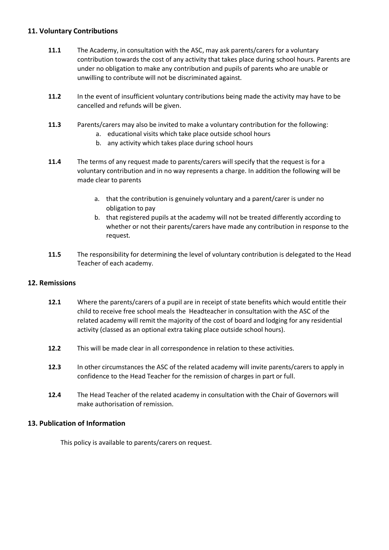#### **11. Voluntary Contributions**

- **11.1** The Academy, in consultation with the ASC, may ask parents/carers for a voluntary contribution towards the cost of any activity that takes place during school hours. Parents are under no obligation to make any contribution and pupils of parents who are unable or unwilling to contribute will not be discriminated against.
- **11.2** In the event of insufficient voluntary contributions being made the activity may have to be cancelled and refunds will be given.
- **11.3** Parents/carers may also be invited to make a voluntary contribution for the following:
	- a. educational visits which take place outside school hours
	- b. any activity which takes place during school hours
- **11.4** The terms of any request made to parents/carers will specify that the request is for a voluntary contribution and in no way represents a charge. In addition the following will be made clear to parents
	- a. that the contribution is genuinely voluntary and a parent/carer is under no obligation to pay
	- b. that registered pupils at the academy will not be treated differently according to whether or not their parents/carers have made any contribution in response to the request.
- **11.5** The responsibility for determining the level of voluntary contribution is delegated to the Head Teacher of each academy.

# **12. Remissions**

- **12.1** Where the parents/carers of a pupil are in receipt of state benefits which would entitle their child to receive free school meals the Headteacher in consultation with the ASC of the related academy will remit the majority of the cost of board and lodging for any residential activity (classed as an optional extra taking place outside school hours).
- **12.2** This will be made clear in all correspondence in relation to these activities.
- **12.3** In other circumstances the ASC of the related academy will invite parents/carers to apply in confidence to the Head Teacher for the remission of charges in part or full.
- **12.4** The Head Teacher of the related academy in consultation with the Chair of Governors will make authorisation of remission.

# **13. Publication of Information**

This policy is available to parents/carers on request.